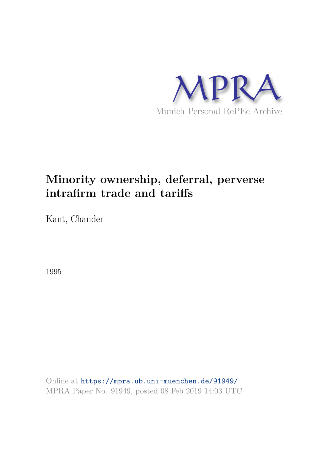

# **Minority ownership, deferral, perverse intrafirm trade and tariffs**

Kant, Chander

1995

Online at https://mpra.ub.uni-muenchen.de/91949/ MPRA Paper No. 91949, posted 08 Feb 2019 14:03 UTC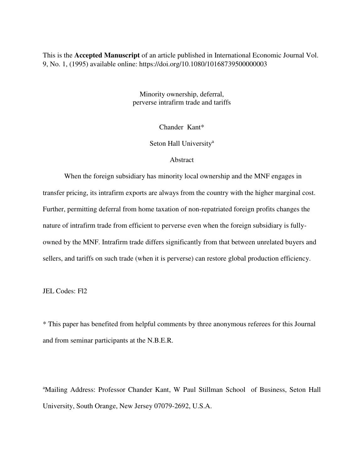This is the **Accepted Manuscript** of an article published in International Economic Journal Vol. 9, No. 1, (1995) available online: https://doi.org/10.1080/10168739500000003

> Minority ownership, deferral, perverse intrafirm trade and tariffs

> > Chander Kant\*

Seton Hall University<sup>a</sup>

# Abstract

 When the foreign subsidiary has minority local ownership and the MNF engages in transfer pricing, its intrafirm exports are always from the country with the higher marginal cost. Further, permitting deferral from home taxation of non-repatriated foreign profits changes the nature of intrafirm trade from efficient to perverse even when the foreign subsidiary is fullyowned by the MNF. Intrafirm trade differs significantly from that between unrelated buyers and sellers, and tariffs on such trade (when it is perverse) can restore global production efficiency.

JEL Codes: Fl2

\* This paper has benefited from helpful comments by three anonymous referees for this Journal and from seminar participants at the N.B.E.R.

<sup>a</sup>Mailing Address: Professor Chander Kant, W Paul Stillman School of Business, Seton Hall University, South Orange, New Jersey 07079-2692, U.S.A.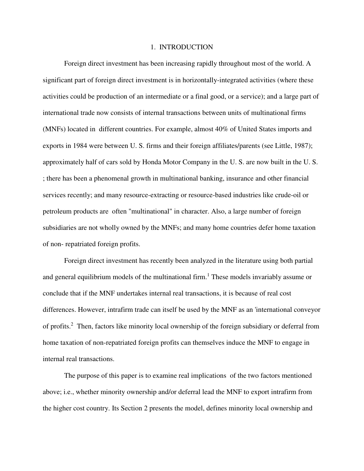## 1. INTRODUCTION

 Foreign direct investment has been increasing rapidly throughout most of the world. A significant part of foreign direct investment is in horizontally-integrated activities (where these activities could be production of an intermediate or a final good, or a service); and a large part of international trade now consists of internal transactions between units of multinational firms (MNFs) located in different countries. For example, almost 40% of United States imports and exports in 1984 were between U. S. firms and their foreign affiliates/parents (see Little, 1987); approximately half of cars sold by Honda Motor Company in the U. S. are now built in the U. S. ; there has been a phenomenal growth in multinational banking, insurance and other financial services recently; and many resource-extracting or resource-based industries like crude-oil or petroleum products are often "multinational" in character. Also, a large number of foreign subsidiaries are not wholly owned by the MNFs; and many home countries defer home taxation of non- repatriated foreign profits.

 Foreign direct investment has recently been analyzed in the literature using both partial and general equilibrium models of the multinational firm.<sup>1</sup> These models invariably assume or conclude that if the MNF undertakes internal real transactions, it is because of real cost differences. However, intrafirm trade can itself be used by the MNF as an 'international conveyor of profits.<sup>2</sup> Then, factors like minority local ownership of the foreign subsidiary or deferral from home taxation of non-repatriated foreign profits can themselves induce the MNF to engage in internal real transactions.

 The purpose of this paper is to examine real implications of the two factors mentioned above; i.e., whether minority ownership and/or deferral lead the MNF to export intrafirm from the higher cost country. Its Section 2 presents the model, defines minority local ownership and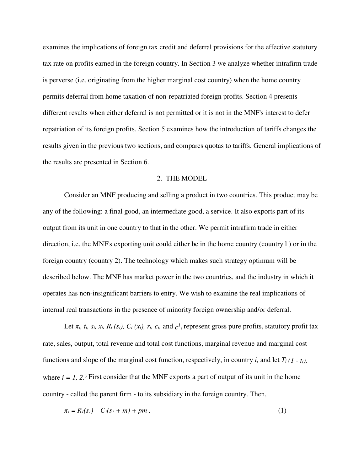examines the implications of foreign tax credit and deferral provisions for the effective statutory tax rate on profits earned in the foreign country. In Section 3 we analyze whether intrafirm trade is perverse (i.e. originating from the higher marginal cost country) when the home country permits deferral from home taxation of non-repatriated foreign profits. Section 4 presents different results when either deferral is not permitted or it is not in the MNF's interest to defer repatriation of its foreign profits. Section 5 examines how the introduction of tariffs changes the results given in the previous two sections, and compares quotas to tariffs. General implications of the results are presented in Section 6.

# 2. THE MODEL

 Consider an MNF producing and selling a product in two countries. This product may be any of the following: a final good, an intermediate good, a service. It also exports part of its output from its unit in one country to that in the other. We permit intrafirm trade in either direction, i.e. the MNF's exporting unit could either be in the home country (country l ) or in the foreign country (country 2). The technology which makes such strategy optimum will be described below. The MNF has market power in the two countries, and the industry in which it operates has non-insignificant barriers to entry. We wish to examine the real implications of internal real transactions in the presence of minority foreign ownership and/or deferral.

Let  $\pi_i$ ,  $t_i$ ,  $s_i$ ,  $x_i$ ,  $R_i$  ( $s_i$ ),  $C_i$  ( $x_i$ ),  $r_i$ ,  $c_i$ , and  $c^l$ <sub>i</sub> represent gross pure profits, statutory profit tax rate, sales, output, total revenue and total cost functions, marginal revenue and marginal cost functions and slope of the marginal cost function, respectively, in country *i*, and let  $T_i$  (1 -  $t_i$ ), where  $i = 1, 2$ <sup>3</sup> First consider that the MNF exports a part of output of its unit in the home country - called the parent firm - to its subsidiary in the foreign country. Then,

$$
\pi_1 = R_1(s_1) - C_1(s_1 + m) + pm \,, \tag{1}
$$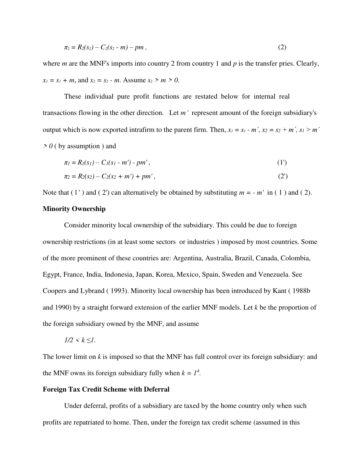$$
\pi_2 = R_2(s_2) - C_2(s_2 - m) - pm \tag{2}
$$

where *m* are the MNF's imports into country 2 from country 1 and *p* is the transfer pries. Clearly,  $x_1 = s_1 + m$ , and  $x_2 = s_2 - m$ . Assume  $s_2 > m > 0$ .

 These individual pure profit functions are restated below for internal real transactions flowing in the other direction. Let *m´* represent amount of the foreign subsidiary's output which is now exported intrafirm to the parent firm. Then,  $x_1 = s_1 - m'$ ,  $x_2 = s_2 + m'$ ,  $s_1 > m'$ *> 0* ( by assumption ) and

$$
\pi_l = R_l(s_l) - C_l(s_l - m') - pm', \qquad (1')
$$

$$
\pi_2 = R_2(s_2) - C_2(s_2 + m') + pm', \tag{2'}
$$

Note that  $(1')$  and  $(2')$  can alternatively be obtained by substituting  $m = -m'$  in  $(1)$  and  $(2)$ .

# **Minority Ownership**

 Consider minority local ownership of the subsidiary. This could be due to foreign ownership restrictions (in at least some sectors or industries ) imposed by most countries. Some of the more prominent of these countries are: Argentina, Australia, Brazil, Canada, Colombia, Egypt, France, India, Indonesia, Japan, Korea, Mexico, Spain, Sweden and Venezuela. See Coopers and Lybrand ( 1993). Minority local ownership has been introduced by Kant ( 1988b and 1990) by a straight forward extension of the earlier MNF models. Let *k* be the proportion of the foreign subsidiary owned by the MNF, and assume

$$
1/2 < k \leq l.
$$

The lower limit on *k* is imposed so that the MNF has full control over its foreign subsidiary: and the MNF owns its foreign subsidiary fully when  $k = 1<sup>4</sup>$ .

## **Foreign Tax Credit Scheme with Deferral**

 Under deferral, profits of a subsidiary are taxed by the home country only when such profits are repatriated to home. Then, under the foreign tax credit scheme (assumed in this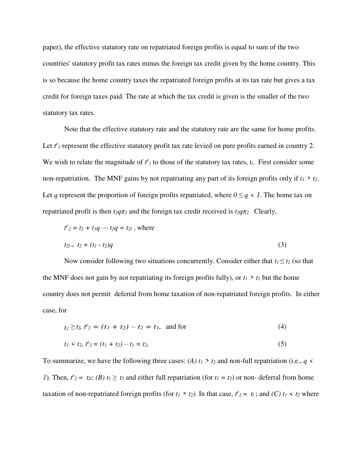paper), the effective statutory rate on repatriated foreign profits is equal to sum of the two countries' statutory profit tax rates minus the foreign tax credit given by the home country. This is so because the home country taxes the repatriated foreign profits at its tax rate but gives a tax credit for foreign taxes paid. The rate at which the tax credit is given is the smaller of the two statutory tax rates.

 Note that the effective statutory rate and the statutory rate are the same for home profits. Let  $t^e$ <sub>2</sub> represent the effective statutory profit tax rate levied on pure profits earned in country 2. We wish to relate the magnitude of  $t^2$  to those of the statutory tax rates,  $t_i$ . First consider some non-repatriation. The MNF gains by not repatriating any part of its foreign profits only if  $t_1 > t_2$ . Let *q* represent the proportion of foreign profits repatriated, where  $0 \leq q \leq 1$ . The home tax on repatriated profit is then  $t_2q\pi_2$  and the foreign tax credit received is  $t_2q\pi_2$  Clearly,

$$
t^{e_2} = t_2 + t_1 q - t_2 q = t_{2l}
$$
, where  

$$
t_{2l} = t_2 + (t_1 - t_2)q
$$
 (3)

Now consider following two situations concurrently. Consider either that  $t_1 \le t_2$  (so that the MNF does not gain by not repatriating its foreign profits fully), or  $t_1 > t_2$  but the home country does not permit deferral from home taxation of non-repatriated foreign profits. In either case, for

$$
t_1 \ge t_2, t^e_2 = (t_1 + t_2) - t_2 = t_1, \text{ and for} \tag{4}
$$

$$
t_1 < t_2, t_2 = (t_1 + t_2) - t_1 = t_2, \tag{5}
$$

To summarize, we have the following three cases: *(A)*  $t_1 > t_2$  and non-full repatriation (i.e.,  $q \leq t_1$ ) *1*). Then,  $t^2 = t_{2l}$ ; (*B*)  $t_1 \ge t_2$  and either full repatriation (for  $t_1 = t_2$ ) or non-deferral from home taxation of non-repatriated foreign profits (for  $t_1 > t_2$ ). In that case,  $t^e_2 = t_1$ ; and  $(C) t_1 < t_2$  where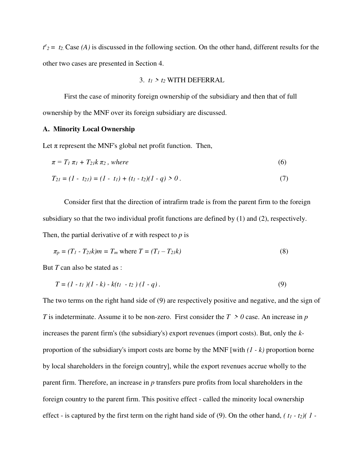$t^2$ <sup>2</sup> = t<sub>2</sub>. Case *(A)* is discussed in the following section. On the other hand, different results for the other two cases are presented in Section 4.

#### 3.  $t_1 > t_2$  WITH DEFERRAL

 First the case of minority foreign ownership of the subsidiary and then that of full ownership by the MNF over its foreign subsidiary are discussed.

# **A. Minority Local Ownership**

Let  $\pi$  represent the MNF's global net profit function. Then,

$$
\pi = T_1 \pi_1 + T_2 \kappa \pi_2 \,, \, \text{where} \tag{6}
$$

$$
T_{21} = (1 - t_{21}) = (1 - t_1) + (t_1 - t_2)(1 - q) > 0.
$$
\n(7)

 Consider first that the direction of intrafirm trade is from the parent firm to the foreign subsidiary so that the two individual profit functions are defined by (1) and (2), respectively. Then, the partial derivative of  $\pi$  with respect to  $p$  is

$$
\pi_p = (T_1 - T_2)k)m = T_m \text{ where } T = (T_1 - T_2)k \tag{8}
$$

But *T* can also be stated as :

$$
T = (1 - t_1)(1 - k) - k(t_1 - t_2)(1 - q).
$$
\n(9)

The two terms on the right hand side of (9) are respectively positive and negative, and the sign of *T* is indeterminate. Assume it to be non-zero. First consider the *T* > 0 case. An increase in *p* increases the parent firm's (the subsidiary's) export revenues (import costs). But, only the *k*proportion of the subsidiary's import costs are borne by the MNF [with *(1 - k)* proportion borne by local shareholders in the foreign country], while the export revenues accrue wholly to the parent firm. Therefore, an increase in *p* transfers pure profits from local shareholders in the foreign country to the parent firm. This positive effect - called the minority local ownership effect - is captured by the first term on the right hand side of (9). On the other hand, *( t1 - t2)( 1 -*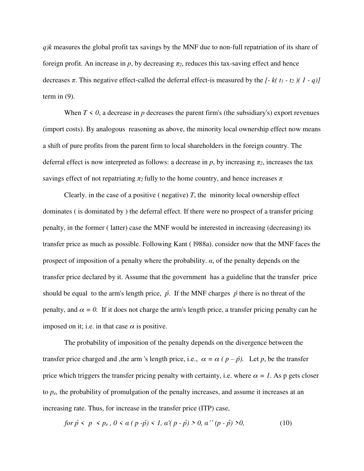*q)k* measures the global profit tax savings by the MNF due to non-full repatriation of its share of foreign profit. An increase in  $p$ , by decreasing  $\pi_2$ , reduces this tax-saving effect and hence decreases *π*. This negative effect-called the deferral effect-is measured by the  $[ -k(t_1 - t_2)(1 - q)]$ term in  $(9)$ .

When  $T \le 0$ , a decrease in *p* decreases the parent firm's (the subsidiary's) export revenues (import costs). By analogous reasoning as above, the minority local ownership effect now means a shift of pure profits from the parent firm to local shareholders in the foreign country. The deferral effect is now interpreted as follows: a decrease in  $p$ , by increasing  $\pi_2$ , increases the tax savings effect of not repatriating  $\pi_2$  fully to the home country, and hence increases  $\pi$ .

Clearly. in the case of a positive ( negative)  $T$ , the minority local ownership effect dominates ( is dominated by ) the deferral effect. If there were no prospect of a transfer pricing penalty, in the former ( latter) case the MNF would be interested in increasing (decreasing) its transfer price as much as possible. Following Kant ( l988a). consider now that the MNF faces the prospect of imposition of a penalty where the probability. *α*, of the penalty depends on the transfer price declared by it. Assume that the government has a guideline that the transfer price should be equal to the arm's length price,  $\hat{p}$ . If the MNF charges  $\hat{p}$  there is no threat of the penalty, and  $\alpha = 0$ . If it does not charge the arm's length price, a transfer pricing penalty can he imposed on it; i.e. in that case  $\alpha$  is positive.

 The probability of imposition of the penalty depends on the divergence between the transfer price charged and ,the arm 's length price, i.e.,  $\alpha = \alpha (p - \hat{p})$ . Let *p*, be the transfer price which triggers the transfer pricing penalty with certainty, i.e. where  $\alpha = 1$ . As p gets closer to *pe,* the probability of promulgation of the penalty increases, and assume it increases at an increasing rate. Thus, for increase in the transfer price (ITP) case,

for 
$$
\hat{p} < p < p_e
$$
,  $0 < \alpha (p - \hat{p}) < 1$ ,  $\alpha'(p - \hat{p}) > 0$ ,  $\alpha''(p - \hat{p}) > 0$ , 
$$
\tag{10}
$$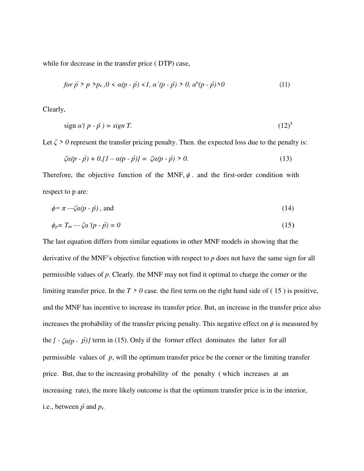while for decrease in the transfer price ( DTP) case,

$$
for \hat{p} > p > p_e, 0 < \alpha(p - \hat{p}) < 1, \, \alpha'(p - \hat{p}) > 0, \, \alpha^n(p - \hat{p}) > 0 \tag{11}
$$

Clearly,

$$
\text{sign } \alpha'(p - \hat{p}) = \text{sign } T. \tag{12}
$$

Let  $\zeta > 0$  represent the transfer pricing penalty. Then. the expected loss due to the penalty is:

$$
\zeta \alpha (p - \hat{p}) + 0. [1 - \alpha (p - \hat{p})] = \zeta \alpha (p - \hat{p}) > 0. \tag{13}
$$

Therefore, the objective function of the MNF,  $\phi$  and the first-order condition with respect to p are:

$$
\phi = \pi - \zeta \alpha (p - \hat{p}) \text{, and} \tag{14}
$$

$$
\phi_p = T_m - \zeta \alpha' (p - \hat{p}) = 0 \tag{15}
$$

The last equation differs from similar equations in other MNF models in showing that the derivative of the MNF's objective function with respect to *p* does not have the same sign for all permissible values of *p*. Clearly. the MNF may not find it optimal to charge the corner or the limiting transfer price. In the  $T > 0$  case, the first term on the right hand side of  $(15)$  is positive, and the MNF has incentive to increase its transfer price. But, an increase in the transfer price also increases the probability of the transfer pricing penalty. This negative effect on  $\phi$  is measured by the  $[-\zeta_{\alpha}(p-\hat{p})]$  term in (15). Only if the former effect dominates the latter for all permissible values of *p*, will the optimum transfer price be the corner or the limiting transfer price. But, due to the increasing probability of the penalty ( which increases at an increasing rate), the more likely outcome is that the optimum transfer price is in the interior, i.e., between  $\hat{p}$  and  $p_e$ .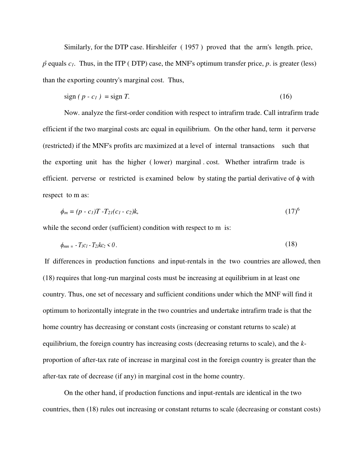Similarly, for the DTP case. Hirshleifer ( 1957 ) proved that the arm's length. price,  $\hat{p}$  equals  $c_1$ . Thus, in the ITP ( DTP) case, the MNF's optimum transfer price,  $p$ . is greater (less) than the exporting country's marginal cost. Thus,

$$
\text{sign}\left(p - c_1\right) = \text{sign}\,T. \tag{16}
$$

 Now. analyze the first-order condition with respect to intrafirm trade. Call intrafirm trade efficient if the two marginal costs arc equal in equilibrium. On the other hand, term it perverse (restricted) if the MNF's profits arc maximized at a level of internal transactions such that the exporting unit has the higher ( lower) marginal . cost. Whether intrafirm trade is efficient. perverse or restricted is examined below by stating the partial derivative of  $\phi$  with respect to m as:

$$
\phi_m = (p \cdot c_1) T \cdot T_{2l}(c_1 \cdot c_2) k, \tag{17}
$$

while the second order (sufficient) condition with respect to m is:

$$
\phi_{mm} = -T_1c_1 - T_2ikc_2 < 0. \tag{18}
$$

 If differences in production functions and input-rentals in the two countries are allowed, then (18) requires that long-run marginal costs must be increasing at equilibrium in at least one country. Thus, one set of necessary and sufficient conditions under which the MNF will find it optimum to horizontally integrate in the two countries and undertake intrafirm trade is that the home country has decreasing or constant costs (increasing or constant returns to scale) at equilibrium, the foreign country has increasing costs (decreasing returns to scale), and the *k*proportion of after-tax rate of increase in marginal cost in the foreign country is greater than the after-tax rate of decrease (if any) in marginal cost in the home country.

 On the other hand, if production functions and input-rentals are identical in the two countries, then (18) rules out increasing or constant returns to scale (decreasing or constant costs)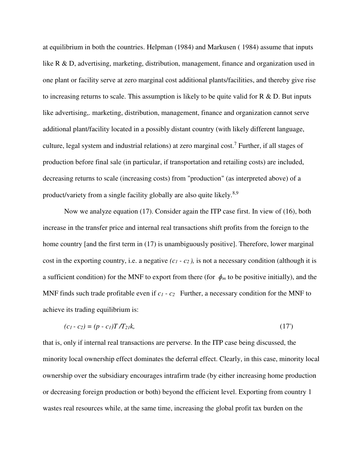at equilibrium in both the countries. Helpman (1984) and Markusen ( 1984) assume that inputs like R & D, advertising, marketing, distribution, management, finance and organization used in one plant or facility serve at zero marginal cost additional plants/facilities, and thereby give rise to increasing returns to scale. This assumption is likely to be quite valid for  $R \& D$ . But inputs like advertising,. marketing, distribution, management, finance and organization cannot serve additional plant/facility located in a possibly distant country (with likely different language, culture, legal system and industrial relations) at zero marginal cost.<sup>7</sup> Further, if all stages of production before final sale (in particular, if transportation and retailing costs) are included, decreasing returns to scale (increasing costs) from "production" (as interpreted above) of a product/variety from a single facility globally are also quite likely.<sup>8,9</sup>

 Now we analyze equation (17). Consider again the ITP case first. In view of (16), both increase in the transfer price and internal real transactions shift profits from the foreign to the home country [and the first term in (17) is unambiguously positive]. Therefore, lower marginal cost in the exporting country, i.e. a negative  $(c_1 - c_2)$ , is not a necessary condition (although it is a sufficient condition) for the MNF to export from there (for  $\phi_m$  to be positive initially), and the MNF finds such trade profitable even if  $c_1$  -  $c_2$  Further, a necessary condition for the MNF to achieve its trading equilibrium is:

$$
(c_1 - c_2) = (p - c_1)T/T_{21}k,
$$
\n(17)

that is, only if internal real transactions are perverse. In the ITP case being discussed, the minority local ownership effect dominates the deferral effect. Clearly, in this case, minority local ownership over the subsidiary encourages intrafirm trade (by either increasing home production or decreasing foreign production or both) beyond the efficient level. Exporting from country 1 wastes real resources while, at the same time, increasing the global profit tax burden on the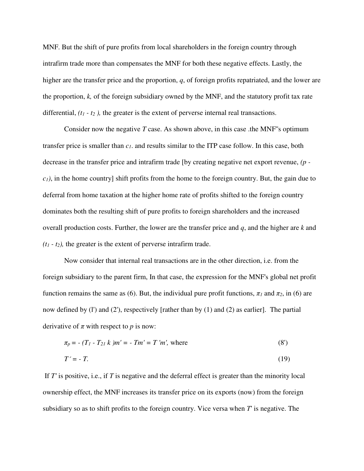MNF. But the shift of pure profits from local shareholders in the foreign country through intrafirm trade more than compensates the MNF for both these negative effects. Lastly, the higher are the transfer price and the proportion, *q*, of foreign profits repatriated, and the lower are the proportion, *k,* of the foreign subsidiary owned by the MNF, and the statutory profit tax rate differential, *(t1 - t<sup>2</sup> ),* the greater is the extent of perverse internal real transactions.

 Consider now the negative *T* case. As shown above, in this case .the MNF''s optimum transfer price is smaller than *c1*. and results similar to the ITP case follow. In this case, both decrease in the transfer price and intrafirm trade [by creating negative net export revenue, *(p c1)*, in the home country] shift profits from the home to the foreign country. But, the gain due to deferral from home taxation at the higher home rate of profits shifted to the foreign country dominates both the resulting shift of pure profits to foreign shareholders and the increased overall production costs. Further, the lower are the transfer price and *q*, and the higher are *k* and  $(t_1 - t_2)$ , the greater is the extent of perverse intrafirm trade.

 Now consider that internal real transactions are in the other direction, i.e. from the foreign subsidiary to the parent firm, In that case, the expression for the MNF's global net profit function remains the same as (6). But, the individual pure profit functions,  $\pi_l$  and  $\pi_2$ , in (6) are now defined by (l') and (2'), respectively [rather than by (1) and (2) as earlier]. The partial derivative of  $\pi$  with respect to  $p$  is now:

$$
\pi_p = -(T_1 - T_{21} k) m' = -T m' = T' m', \text{ where}
$$
\n(8')

$$
T' = -T.\tag{19}
$$

 If *T'* is positive, i.e., if *T* is negative and the deferral effect is greater than the minority local ownership effect, the MNF increases its transfer price on its exports (now) from the foreign subsidiary so as to shift profits to the foreign country. Vice versa when *T*' is negative. The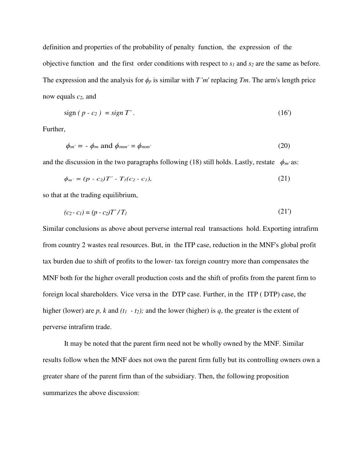definition and properties of the probability of penalty function, the expression of the objective function and the first order conditions with respect to *s1* and *s2* are the same as before. The expression and the analysis for  $\phi_p$  is similar with *T* '*m*' replacing *Tm*. The arm's length price now equals *c2,* and

$$
sign (p - c_2) = sign T'.
$$
\n(16)

Further,

$$
\phi_{m'} = -\phi_m \text{ and } \phi_{mm'} = \phi_{mm'}
$$
\n(20)

and the discussion in the two paragraphs following (18) still holds. Lastly, restate  $\phi_{m'}$  as:

$$
\phi_{m'} = (p - c_2)T' - T_1(c_2 - c_1),\tag{21}
$$

so that at the trading equilibrium,

$$
(c_2 - c_1) = (p - c_2)T'/T_1
$$
\n(21')

Similar conclusions as above about perverse internal real transactions hold. Exporting intrafirm from country 2 wastes real resources. But, in the ITP case, reduction in the MNF's global profit tax burden due to shift of profits to the lower- tax foreign country more than compensates the MNF both for the higher overall production costs and the shift of profits from the parent firm to foreign local shareholders. Vice versa in the DTP case. Further, in the ITP ( DTP) case, the higher (lower) are *p*, *k* and  $(t_1 - t_2)$ ; and the lower (higher) is *q*, the greater is the extent of perverse intrafirm trade.

 It may be noted that the parent firm need not be wholly owned by the MNF. Similar results follow when the MNF does not own the parent firm fully but its controlling owners own a greater share of the parent firm than of the subsidiary. Then, the following proposition summarizes the above discussion: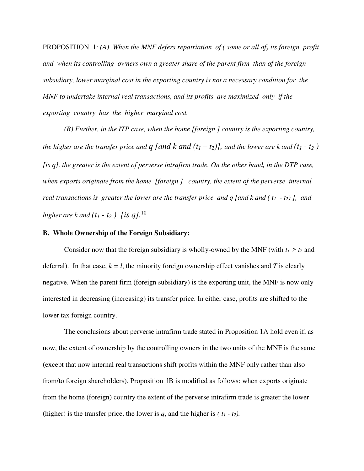PROPOSITION 1: *(A) When the MNF defers repatriation of ( some or all of) its foreign profit and when its controlling owners own a greater share of the parent firm than of the foreign subsidiary, lower marginal cost in the exporting country is not a necessary condition for the MNF to undertake internal real transactions, and its profits are maximized only if the exporting country has the higher marginal cost.*

 *(B) Further, in the ITP case, when the home [foreign ] country is the exporting country, the higher are the transfer price and*  $q$  *[and k and*  $(t_1 - t_2)$ *], and the lower are k and*  $(t_1 - t_2)$ *[is q], the greater is the extent of perverse intrafirm trade. On the other hand, in the DTP case, when exports originate from the home [foreign ] country, the extent of the perverse internal real transactions is greater the lower are the transfer price and q [and k and ( t1 - t2) ], and higher are k and*  $(t_1 - t_2)$  *[is q]*.<sup>10</sup>

# **B. Whole Ownership of the Foreign Subsidiary:**

Consider now that the foreign subsidiary is wholly-owned by the MNF (with  $t_1 > t_2$  and deferral). In that case,  $k = l$ , the minority foreign ownership effect vanishes and *T* is clearly negative. When the parent firm (foreign subsidiary) is the exporting unit, the MNF is now only interested in decreasing (increasing) its transfer price. In either case, profits are shifted to the lower tax foreign country.

 The conclusions about perverse intrafirm trade stated in Proposition 1A hold even if, as now, the extent of ownership by the controlling owners in the two units of the MNF is the same (except that now internal real transactions shift profits within the MNF only rather than also from/to foreign shareholders). Proposition lB is modified as follows: when exports originate from the home (foreign) country the extent of the perverse intrafirm trade is greater the lower (higher) is the transfer price, the lower is *q*, and the higher is  $( t_1 - t_2 )$ .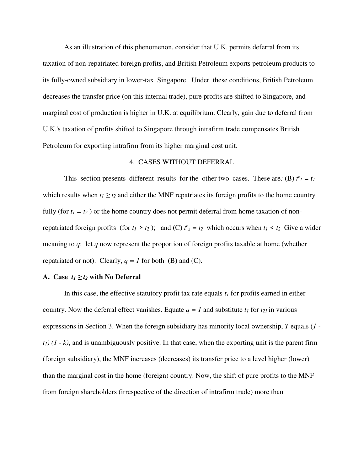As an illustration of this phenomenon, consider that U.K. permits deferral from its taxation of non-repatriated foreign profits, and British Petroleum exports petroleum products to its fully-owned subsidiary in lower-tax Singapore. Under these conditions, British Petroleum decreases the transfer price (on this internal trade), pure profits are shifted to Singapore, and marginal cost of production is higher in U.K. at equilibrium. Clearly, gain due to deferral from U.K.'s taxation of profits shifted to Singapore through intrafirm trade compensates British Petroleum for exporting intrafirm from its higher marginal cost unit.

## 4. CASES WITHOUT DEFERRAL

This section presents different results for the other two cases. These are: (B)  $t^2 = t_1$ which results when  $t_1 \geq t_2$  and either the MNF repatriates its foreign profits to the home country fully (for  $t_1 = t_2$ ) or the home country does not permit deferral from home taxation of nonrepatriated foreign profits (for  $t_1 > t_2$ ); and (C)  $t^e_2 = t_2$  which occurs when  $t_1 < t_2$  Give a wider meaning to *q*: let *q* now represent the proportion of foreign profits taxable at home (whether repatriated or not). Clearly,  $q = 1$  for both (B) and (C).

### A. Case  $t_1 \geq t_2$  with No Deferral

 In this case, the effective statutory profit tax rate equals *t1* for profits earned in either country. Now the deferral effect vanishes. Equate  $q = 1$  and substitute  $t_1$  for  $t_{21}$  in various expressions in Section 3. When the foreign subsidiary has minority local ownership, *T* equals (*1*   $t_1$  $(1 - k)$ , and is unambiguously positive. In that case, when the exporting unit is the parent firm (foreign subsidiary), the MNF increases (decreases) its transfer price to a level higher (lower) than the marginal cost in the home (foreign) country. Now, the shift of pure profits to the MNF from foreign shareholders (irrespective of the direction of intrafirm trade) more than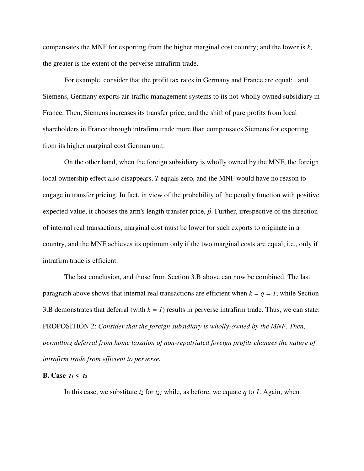compensates the MNF for exporting from the higher marginal cost country; and the lower is *k*, the greater is the extent of the perverse intrafirm trade.

 For example, consider that the profit tax rates in Germany and France are equal; . and Siemens, Germany exports air-traffic management systems to its not-wholly owned subsidiary in France. Then, Siemens increases its transfer price; and the shift of pure profits from local shareholders in France through intrafirm trade more than compensates Siemens for exporting from its higher marginal cost German unit.

 On the other hand, when the foreign subsidiary is wholly owned by the MNF, the foreign local ownership effect also disappears, *T* equals zero, and the MNF would have no reason to engage in transfer pricing. In fact, in view of the probability of the penalty function with positive expected value, it chooses the arm's length transfer price,  $\hat{p}$ . Further, irrespective of the direction of internal real transactions, marginal cost must be lower for such exports to originate in a country, and the MNF achieves its optimum only if the two marginal costs are equal; i.e., only if intrafirm trade is efficient.

 The last conclusion, and those from Section 3.B above can now be combined. The last paragraph above shows that internal real transactions are efficient when  $k = q = 1$ ; while Section 3.B demonstrates that deferral (with  $k = 1$ ) results in perverse intrafirm trade. Thus, we can state: PROPOSITION 2: *Consider that the foreign subsidiary is wholly-owned by the MNF. Then, permitting deferral from home taxation of non-repatriated foreign profits changes the nature of intrafirm trade from efficient to perverse.* 

## **B.** Case  $t_1 < t_2$

In this case, we substitute  $t_2$  for  $t_{21}$  while, as before, we equate  $q$  to  $1$ . Again, when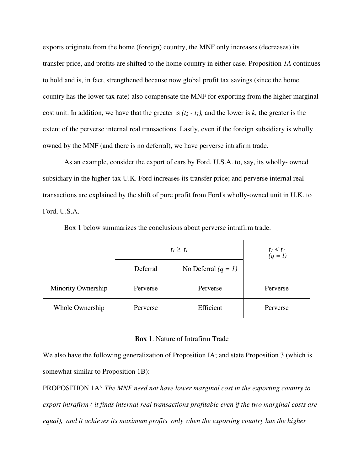exports originate from the home (foreign) country, the MNF only increases (decreases) its transfer price, and profits are shifted to the home country in either case. Proposition *1A* continues to hold and is, in fact, strengthened because now global profit tax savings (since the home country has the lower tax rate) also compensate the MNF for exporting from the higher marginal cost unit. In addition, we have that the greater is  $(t_2 - t_1)$ , and the lower is *k*, the greater is the extent of the perverse internal real transactions. Lastly, even if the foreign subsidiary is wholly owned by the MNF (and there is no deferral), we have perverse intrafirm trade.

 As an example, consider the export of cars by Ford, U.S.A. to, say, its wholly- owned subsidiary in the higher-tax U.K. Ford increases its transfer price; and perverse internal real transactions are explained by the shift of pure profit from Ford's wholly-owned unit in U.K. to Ford, U.S.A.

|                    | $t_1 \geq t_1$ |                       | $t_1 < t_2$<br>(q = l) |
|--------------------|----------------|-----------------------|------------------------|
|                    | Deferral       | No Deferral $(q = 1)$ |                        |
| Minority Ownership | Perverse       | Perverse              | Perverse               |
| Whole Ownership    | Perverse       | Efficient             | Perverse               |

Box 1 below summarizes the conclusions about perverse intrafirm trade.

#### **Box 1**. Nature of Intrafirm Trade

We also have the following generalization of Proposition IA; and state Proposition 3 (which is somewhat similar to Proposition 1B):

PROPOSITION 1A': *The MNF need not have lower marginal cost in the exporting country to export intrafirm ( it finds internal real transactions profitable even if the two marginal costs are equal), and it achieves its maximum profits only when the exporting country has the higher*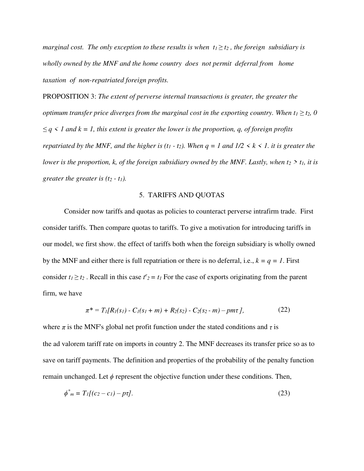*marginal cost. The only exception to these results is when*  $t_1 \geq t_2$ *, the foreign subsidiary is wholly owned by the MNF and the home country does not permit deferral from home taxation of non-repatriated foreign profits.*

PROPOSITION 3: *The extent of perverse internal transactions is greater, the greater the optimum transfer price diverges from the marginal cost in the exporting country. When*  $t_1 \ge t_2$ *, 0 ≤ q < 1 and k = 1, this extent is greater the lower is the proportion, q, of foreign profits repatriated by the MNF, and the higher is (t<sub>1</sub> - t<sub>2</sub>). When*  $q = 1$  *and*  $1/2 \le k \le 1$ *. it is greater the lower is the proportion, k, of the foreign subsidiary owned by the MNF. Lastly, when*  $t_2 > t_1$ *, it is greater the greater is (t2 - t1).*

## 5. TARIFFS AND QUOTAS

 Consider now tariffs and quotas as policies to counteract perverse intrafirm trade. First consider tariffs. Then compare quotas to tariffs. To give a motivation for introducing tariffs in our model, we first show. the effect of tariffs both when the foreign subsidiary is wholly owned by the MNF and either there is full repatriation or there is no deferral, i.e.,  $k = q = 1$ . First consider  $t_1 \ge t_2$ . Recall in this case  $t^e_2 = t_1$  For the case of exports originating from the parent firm, we have

$$
\pi^* = T_l[R_l(s_l) - C_l(s_l + m) + R_2(s_2) - C_2(s_2 - m) - pm\tau],
$$
\n(22)

where  $\pi$  is the MNF's global net profit function under the stated conditions and  $\tau$  is the ad valorem tariff rate on imports in country 2. The MNF decreases its transfer price so as to save on tariff payments. The definition and properties of the probability of the penalty function remain unchanged. Let  $\phi$  represent the objective function under these conditions. Then,

$$
\phi^* = T_I[(c_2 - c_1) - p\tau].\tag{23}
$$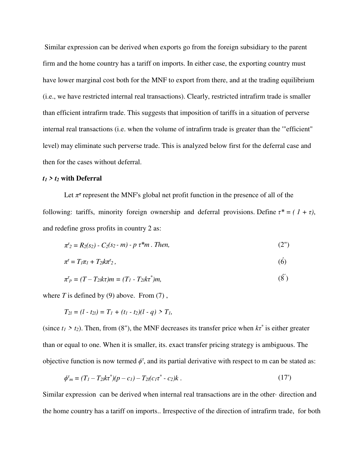Similar expression can be derived when exports go from the foreign subsidiary to the parent firm and the home country has a tariff on imports. In either case, the exporting country must have lower marginal cost both for the MNF to export from there, and at the trading equilibrium (i.e., we have restricted internal real transactions). Clearly, restricted intrafirm trade is smaller than efficient intrafirm trade. This suggests that imposition of tariffs in a situation of perverse internal real transactions (i.e. when the volume of intrafirm trade is greater than the '"efficient" level) may eliminate such perverse trade. This is analyzed below first for the deferral case and then for the cases without deferral.

# *t1 > t2* **with Deferral**

Let  $\pi^{\tau}$  represent the MNF's global net profit function in the presence of all of the following: tariffs, minority foreign ownership and deferral provisions. Define  $\tau^* = (1 + \tau)$ , and redefine gross profits in country 2 as:

$$
\pi^{\tau}_2 = R_2(s_2) - C_2(s_2 - m) - p \tau^* m \ . \ Then, \tag{2''}
$$

$$
\pi^{\tau} = T_1 \pi_1 + T_2 k \pi^{\tau}_2, \tag{6}
$$

$$
\pi^{\tau}_{p} = (T - T_{2k}\tau)m = (T_{1} - T_{2k}\tau^{*})m,
$$
\n(8)

where  $T$  is defined by (9) above. From (7),

$$
T_{2l} = (l - t_{2l}) = T_1 + (t_1 - t_2)(l - q) > T_1,
$$

(since  $t_1 > t_2$ ). Then, from (8"), the MNF decreases its transfer price when  $k\tau^*$  is either greater than or equal to one. When it is smaller, its. exact transfer pricing strategy is ambiguous. The objective function is now termed  $\phi^{\tau}$ , and its partial derivative with respect to m can be stated as:

$$
\phi^{\tau}{}_{m} = (T_{1} - T_{2l}k\tau^{*})(p - c_{1}) - T_{2l}(c_{1}\tau^{*} - c_{2})k. \qquad (17')
$$

Similar expression can be derived when internal real transactions are in the other· direction and the home country has a tariff on imports.. Irrespective of the direction of intrafirm trade, for both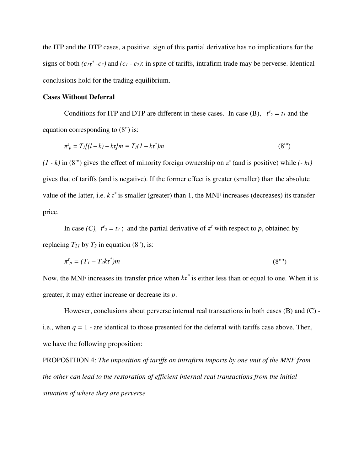the ITP and the DTP cases, a positive sign of this partial derivative has no implications for the signs of both  $(c_1\tau^*$ -c<sub>2</sub>) and  $(c_1 - c_2)$ : in spite of tariffs, intrafirm trade may be perverse. Identical conclusions hold for the trading equilibrium.

## **Cases Without Deferral**

Conditions for ITP and DTP are different in these cases. In case (B),  $t^2 = t_1$  and the equation corresponding to (8") is:

$$
\pi^{\tau}_{p} = T_{1}[(l-k) - k\tau]m = T_{1}(l - k\tau^{*})m
$$
\n(8'')

 $(1 - k)$  in (8"') gives the effect of minority foreign ownership on  $\pi^t$  (and is positive) while  $(-k\tau)$ gives that of tariffs (and is negative). If the former effect is greater (smaller) than the absolute value of the latter, i.e.  $k \tau^*$  is smaller (greater) than 1, the MNF increases (decreases) its transfer price.

In case *(C),*  $t^e_2 = t_2$ ; and the partial derivative of  $\pi^r$  with respect to *p*, obtained by replacing  $T_{21}$  by  $T_2$  in equation (8"), is:

$$
\pi^{\tau}_p = (T_1 - T_2 k \tau^*) m \tag{8}^{\text{uu}}(}
$$

Now, the MNF increases its transfer price when  $k\tau^*$  is either less than or equal to one. When it is greater, it may either increase or decrease its *p*.

However, conclusions about perverse internal real transactions in both cases  $(B)$  and  $(C)$  i.e., when  $q = 1$  - are identical to those presented for the deferral with tariffs case above. Then, we have the following proposition:

PROPOSITION 4: *The imposition of tariffs on intrafirm imports by one unit of the MNF from the other can lead to the restoration of efficient internal real transactions from the initial situation of where they are perverse*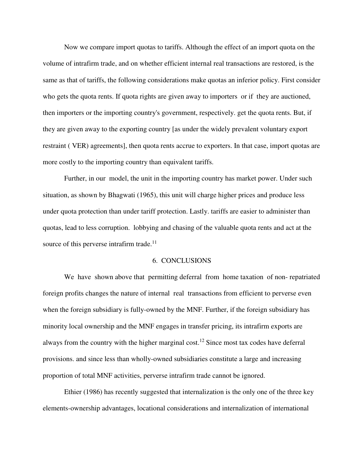Now we compare import quotas to tariffs. Although the effect of an import quota on the volume of intrafirm trade, and on whether efficient internal real transactions are restored, is the same as that of tariffs, the following considerations make quotas an inferior policy. First consider who gets the quota rents. If quota rights are given away to importers or if they are auctioned, then importers or the importing country's government, respectively. get the quota rents. But, if they are given away to the exporting country [as under the widely prevalent voluntary export restraint ( VER) agreements], then quota rents accrue to exporters. In that case, import quotas are more costly to the importing country than equivalent tariffs.

 Further, in our model, the unit in the importing country has market power. Under such situation, as shown by Bhagwati (1965), this unit will charge higher prices and produce less under quota protection than under tariff protection. Lastly. tariffs are easier to administer than quotas, lead to less corruption. lobbying and chasing of the valuable quota rents and act at the source of this perverse intrafirm trade.<sup>11</sup>

## 6. CONCLUSIONS

 We have shown above that permitting deferral from home taxation of non- repatriated foreign profits changes the nature of internal real transactions from efficient to perverse even when the foreign subsidiary is fully-owned by the MNF. Further, if the foreign subsidiary has minority local ownership and the MNF engages in transfer pricing, its intrafirm exports are always from the country with the higher marginal cost.<sup>12</sup> Since most tax codes have deferral provisions. and since less than wholly-owned subsidiaries constitute a large and increasing proportion of total MNF activities, perverse intrafirm trade cannot be ignored.

 Ethier (1986) has recently suggested that internalization is the only one of the three key elements-ownership advantages, locational considerations and internalization of international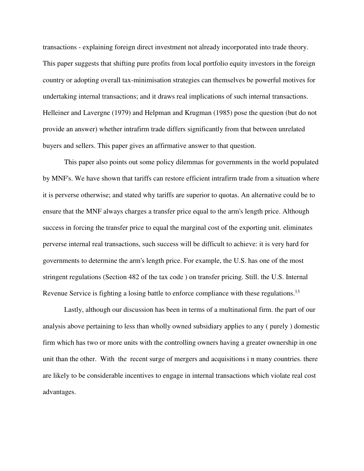transactions - explaining foreign direct investment not already incorporated into trade theory. This paper suggests that shifting pure profits from local portfolio equity investors in the foreign country or adopting overall tax-minimisation strategies can themselves be powerful motives for undertaking internal transactions; and it draws real implications of such internal transactions. Helleiner and Lavergne (1979) and Helpman and Krugman (1985) pose the question (but do not provide an answer) whether intrafirm trade differs significantly from that between unrelated buyers and sellers. This paper gives an affirmative answer to that question.

 This paper also points out some policy dilemmas for governments in the world populated by MNF's. We have shown that tariffs can restore efficient intrafirm trade from a situation where it is perverse otherwise; and stated why tariffs are superior to quotas. An alternative could be to ensure that the MNF always charges a transfer price equal to the arm's length price. Although success in forcing the transfer price to equal the marginal cost of the exporting unit. eliminates perverse internal real transactions, such success will be difficult to achieve: it is very hard for governments to determine the arm's length price. For example, the U.S. has one of the most stringent regulations (Section 482 of the tax code ) on transfer pricing. Still. the U.S. Internal Revenue Service is fighting a losing battle to enforce compliance with these regulations.<sup>13</sup>

 Lastly, although our discussion has been in terms of a multinational firm. the part of our analysis above pertaining to less than wholly owned subsidiary applies to any ( purely ) domestic firm which has two or more units with the controlling owners having a greater ownership in one unit than the other. With the recent surge of mergers and acquisitions i n many countries. there are likely to be considerable incentives to engage in internal transactions which violate real cost advantages.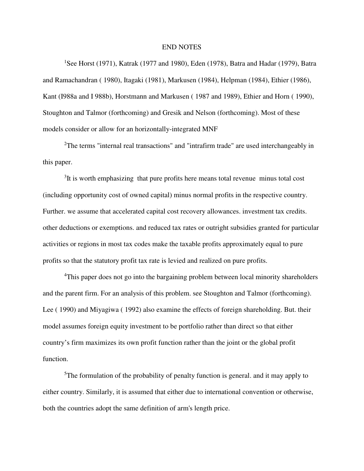#### END NOTES

<sup>1</sup>See Horst (1971), Katrak (1977 and 1980), Eden (1978), Batra and Hadar (1979), Batra and Ramachandran ( 1980), Itagaki (1981), Markusen (1984), Helpman (1984), Ethier (1986), Kant (I988a and I 988b), Horstmann and Markusen ( 1987 and 1989), Ethier and Horn ( 1990), Stoughton and Talmor (forthcoming) and Gresik and Nelson (forthcoming). Most of these models consider or allow for an horizontally-integrated MNF

<sup>2</sup>The terms "internal real transactions" and "intrafirm trade" are used interchangeably in this paper.

<sup>3</sup>It is worth emphasizing that pure profits here means total revenue minus total cost (including opportunity cost of owned capital) minus normal profits in the respective country. Further. we assume that accelerated capital cost recovery allowances. investment tax credits. other deductions or exemptions. and reduced tax rates or outright subsidies granted for particular activities or regions in most tax codes make the taxable profits approximately equal to pure profits so that the statutory profit tax rate is levied and realized on pure profits.

<sup>4</sup>This paper does not go into the bargaining problem between local minority shareholders and the parent firm. For an analysis of this problem. see Stoughton and Talmor (forthcoming). Lee ( 1990) and Miyagiwa ( 1992) also examine the effects of foreign shareholding. But. their model assumes foreign equity investment to be portfolio rather than direct so that either country's firm maximizes its own profit function rather than the joint or the global profit function.

 $5$ The formulation of the probability of penalty function is general. and it may apply to either country. Similarly, it is assumed that either due to international convention or otherwise, both the countries adopt the same definition of arm's length price.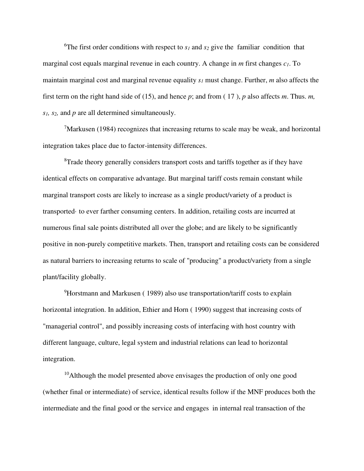<sup>6</sup>The first order conditions with respect to  $s_1$  and  $s_2$  give the familiar condition that marginal cost equals marginal revenue in each country. A change in *m* first changes *c1*. To maintain marginal cost and marginal revenue equality *s1* must change. Further, *m* also affects the first term on the right hand side of (15), and hence *p*; and from ( 17 ), *p* also affects *m*. Thus. *m, s1, s2,* and *p* are all determined simultaneously.

 $\frac{7}{1}$ Markusen (1984) recognizes that increasing returns to scale may be weak, and horizontal integration takes place due to factor-intensity differences.

<sup>8</sup>Trade theory generally considers transport costs and tariffs together as if they have identical effects on comparative advantage. But marginal tariff costs remain constant while marginal transport costs are likely to increase as a single product/variety of a product is transported· to ever farther consuming centers. In addition, retailing costs are incurred at numerous final sale points distributed all over the globe; and are likely to be significantly positive in non-purely competitive markets. Then, transport and retailing costs can be considered as natural barriers to increasing returns to scale of "producing" a product/variety from a single plant/facility globally.

<sup>9</sup>Horstmann and Markusen (1989) also use transportation/tariff costs to explain horizontal integration. In addition, Ethier and Horn ( 1990) suggest that increasing costs of "managerial control", and possibly increasing costs of interfacing with host country with different language, culture, legal system and industrial relations can lead to horizontal integration.

<sup>10</sup>Although the model presented above envisages the production of only one good (whether final or intermediate) of service, identical results follow if the MNF produces both the intermediate and the final good or the service and engages in internal real transaction of the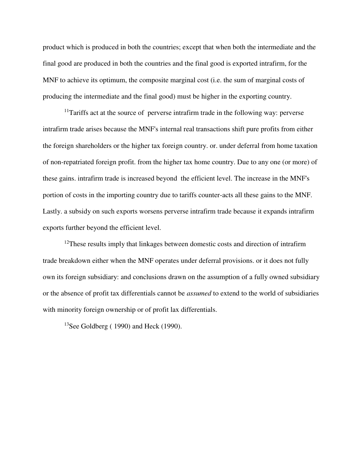product which is produced in both the countries; except that when both the intermediate and the final good are produced in both the countries and the final good is exported intrafirm, for the MNF to achieve its optimum, the composite marginal cost (i.e. the sum of marginal costs of producing the intermediate and the final good) must be higher in the exporting country.

 $11$ Tariffs act at the source of perverse intrafirm trade in the following way: perverse intrafirm trade arises because the MNF's internal real transactions shift pure profits from either the foreign shareholders or the higher tax foreign country. or. under deferral from home taxation of non-repatriated foreign profit. from the higher tax home country. Due to any one (or more) of these gains. intrafirm trade is increased beyond the efficient level. The increase in the MNF's portion of costs in the importing country due to tariffs counter-acts all these gains to the MNF. Lastly. a subsidy on such exports worsens perverse intrafirm trade because it expands intrafirm exports further beyond the efficient level.

 $12$ These results imply that linkages between domestic costs and direction of intrafirm trade breakdown either when the MNF operates under deferral provisions. or it does not fully own its foreign subsidiary: and conclusions drawn on the assumption of a fully owned subsidiary or the absence of profit tax differentials cannot be *assumed* to extend to the world of subsidiaries with minority foreign ownership or of profit lax differentials.

<sup>13</sup>See Goldberg ( $1990$ ) and Heck (1990).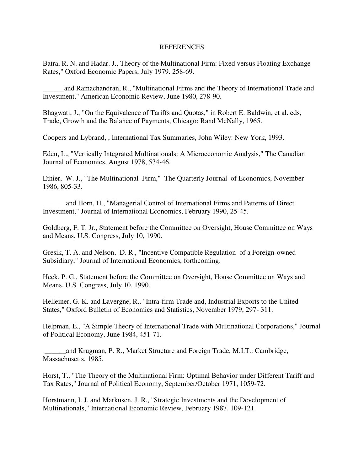# REFERENCES

Batra, R. N. and Hadar. J., Theory of the Multinational Firm: Fixed versus Floating Exchange Rates," Oxford Economic Papers, July 1979. 258-69.

\_\_\_\_\_\_and Ramachandran, R., "Multinational Firms and the Theory of International Trade and Investment," American Economic Review, June 1980, 278-90.

Bhagwati, J., "On the Equivalence of Tariffs and Quotas," in Robert E. Baldwin, et al. eds, Trade, Growth and the Balance of Payments, Chicago: Rand McNally, 1965.

Coopers and Lybrand, , International Tax Summaries, John Wiley: New York, 1993.

Eden, L., "Vertically Integrated Multinationals: A Microeconomic Analysis," The Canadian Journal of Economics, August 1978, 534-46.

Ethier, W. J., "The Multinational Firm," The Quarterly Journal of Economics, November 1986, 805-33.

 \_\_\_\_\_\_and Horn, H., "Managerial Control of International Firms and Patterns of Direct Investment," Journal of International Economics, February 1990, 25-45.

Goldberg, F. T. Jr., Statement before the Committee on Oversight, House Committee on Ways and Means, U.S. Congress, July 10, 1990.

Gresik, T. A. and Nelson, D. R., "Incentive Compatible Regulation of a Foreign-owned Subsidiary," Journal of International Economics, forthcoming.

Heck, P. G., Statement before the Committee on Oversight, House Committee on Ways and Means, U.S. Congress, July 10, 1990.

Helleiner, G. K. and Lavergne, R., "Intra-firm Trade and, Industrial Exports to the United States," Oxford Bulletin of Economics and Statistics, November 1979, 297- 311.

Helpman, E., "A Simple Theory of International Trade with Multinational Corporations," Journal of Political Economy, June 1984, 451-71.

 \_\_\_\_\_\_and Krugman, P. R., Market Structure and Foreign Trade, M.I.T.: Cambridge, Massachusetts, 1985.

Horst, T., "The Theory of the Multinational Firm: Optimal Behavior under Different Tariff and Tax Rates," Journal of Political Economy, September/October 1971, 1059-72.

Horstmann, I. J. and Markusen, J. R., "Strategic Investments and the Development of Multinationals," International Economic Review, February 1987, 109-121.